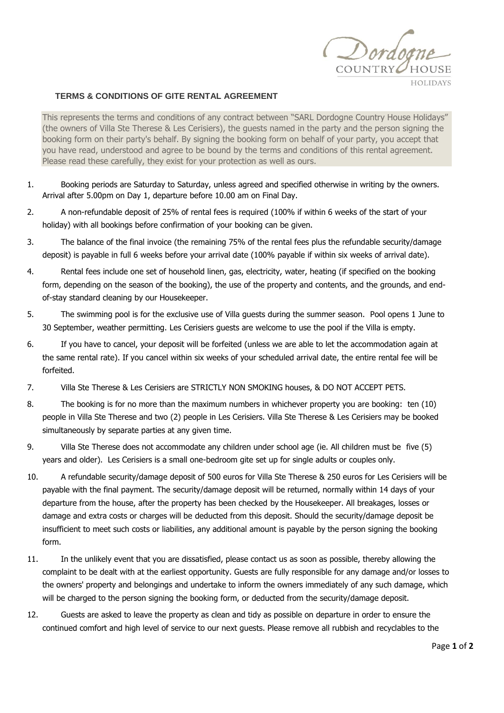

## **TERMS & CONDITIONS OF GITE RENTAL AGREEMENT**

This represents the terms and conditions of any contract between "SARL Dordogne Country House Holidays" (the owners of Villa Ste Therese & Les Cerisiers), the guests named in the party and the person signing the booking form on their party's behalf. By signing the booking form on behalf of your party, you accept that you have read, understood and agree to be bound by the terms and conditions of this rental agreement. Please read these carefully, they exist for your protection as well as ours.

- 1. Booking periods are Saturday to Saturday, unless agreed and specified otherwise in writing by the owners. Arrival after 5.00pm on Day 1, departure before 10.00 am on Final Day.
- 2. A non-refundable deposit of 25% of rental fees is required (100% if within 6 weeks of the start of your holiday) with all bookings before confirmation of your booking can be given.
- 3. The balance of the final invoice (the remaining 75% of the rental fees plus the refundable security/damage deposit) is payable in full 6 weeks before your arrival date (100% payable if within six weeks of arrival date).
- 4. Rental fees include one set of household linen, gas, electricity, water, heating (if specified on the booking form, depending on the season of the booking), the use of the property and contents, and the grounds, and endof-stay standard cleaning by our Housekeeper.
- 5. The swimming pool is for the exclusive use of Villa guests during the summer season. Pool opens 1 June to 30 September, weather permitting. Les Cerisiers guests are welcome to use the pool if the Villa is empty.
- 6. If you have to cancel, your deposit will be forfeited (unless we are able to let the accommodation again at the same rental rate). If you cancel within six weeks of your scheduled arrival date, the entire rental fee will be forfeited.
- 7. Villa Ste Therese & Les Cerisiers are STRICTLY NON SMOKING houses, & DO NOT ACCEPT PETS.
- 8. The booking is for no more than the maximum numbers in whichever property you are booking: ten (10) people in Villa Ste Therese and two (2) people in Les Cerisiers. Villa Ste Therese & Les Cerisiers may be booked simultaneously by separate parties at any given time.
- 9. Villa Ste Therese does not accommodate any children under school age (ie. All children must be five (5) years and older). Les Cerisiers is a small one-bedroom gite set up for single adults or couples only.
- 10. A refundable security/damage deposit of 500 euros for Villa Ste Therese & 250 euros for Les Cerisiers will be payable with the final payment. The security/damage deposit will be returned, normally within 14 days of your departure from the house, after the property has been checked by the Housekeeper. All breakages, losses or damage and extra costs or charges will be deducted from this deposit. Should the security/damage deposit be insufficient to meet such costs or liabilities, any additional amount is payable by the person signing the booking form.
- 11. In the unlikely event that you are dissatisfied, please contact us as soon as possible, thereby allowing the complaint to be dealt with at the earliest opportunity. Guests are fully responsible for any damage and/or losses to the owners' property and belongings and undertake to inform the owners immediately of any such damage, which will be charged to the person signing the booking form, or deducted from the security/damage deposit.
- 12. Guests are asked to leave the property as clean and tidy as possible on departure in order to ensure the continued comfort and high level of service to our next guests. Please remove all rubbish and recyclables to the